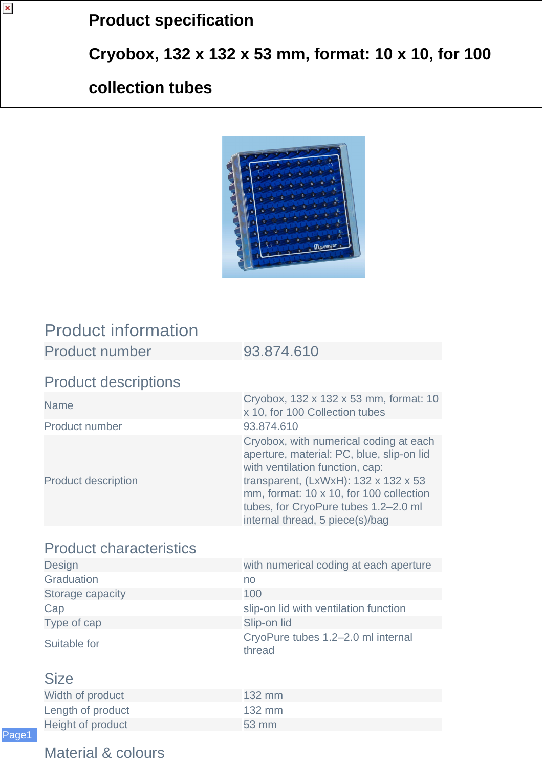# **Product specification**

**Cryobox, 132 x 132 x 53 mm, format: 10 x 10, for 100**

### **collection tubes**



## Product information

Product number 93.874.610

#### Product descriptions

| <b>Name</b>                | Cryobox, 132 x 132 x 53 mm, format: 10<br>x 10, for 100 Collection tubes                                                                                                                                                                                                                |
|----------------------------|-----------------------------------------------------------------------------------------------------------------------------------------------------------------------------------------------------------------------------------------------------------------------------------------|
| Product number             | 93.874.610                                                                                                                                                                                                                                                                              |
| <b>Product description</b> | Cryobox, with numerical coding at each<br>aperture, material: PC, blue, slip-on lid<br>with ventilation function, cap:<br>transparent, $(LxWxH)$ : 132 x 132 x 53<br>mm, format: 10 x 10, for 100 collection<br>tubes, for CryoPure tubes 1.2-2.0 ml<br>internal thread, 5 piece(s)/bag |

### Product characteristics

| with numerical coding at each aperture       |
|----------------------------------------------|
| no                                           |
| 100                                          |
| slip-on lid with ventilation function        |
| Slip-on lid                                  |
| CryoPure tubes 1.2–2.0 ml internal<br>thread |
|                                              |

#### Size

| Width of product  | $132 \text{ mm}$ |
|-------------------|------------------|
| Length of product | 132 mm           |
| Height of product | $53 \text{ mm}$  |

#### Material & colours

 $\pmb{\mathsf{x}}$